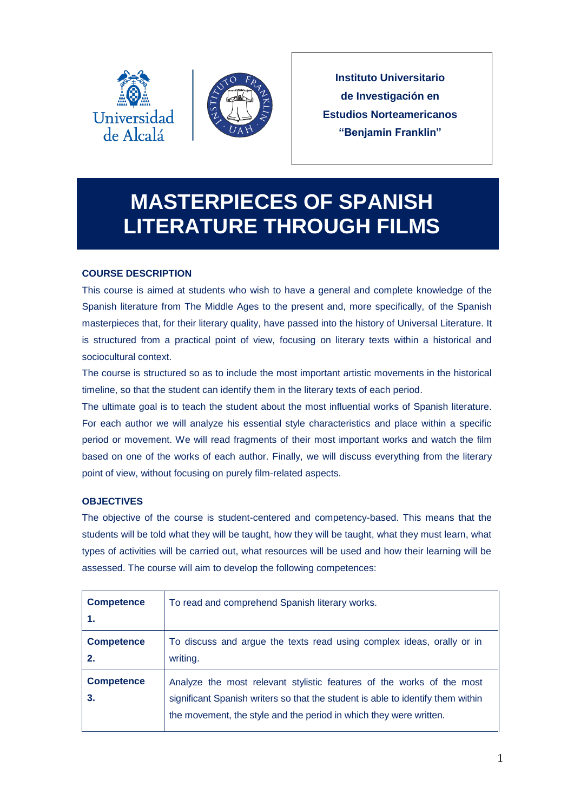



**Instituto Universitario de Investigación en Estudios Norteamericanos "Benjamin Franklin"**

# **MASTERPIECES OF SPANISH LITERATURE THROUGH FILMS**

# **COURSE DESCRIPTION**

This course is aimed at students who wish to have a general and complete knowledge of the Spanish literature from The Middle Ages to the present and, more specifically, of the Spanish masterpieces that, for their literary quality, have passed into the history of Universal Literature. It is structured from a practical point of view, focusing on literary texts within a historical and sociocultural context.

The course is structured so as to include the most important artistic movements in the historical timeline, so that the student can identify them in the literary texts of each period.

The ultimate goal is to teach the student about the most influential works of Spanish literature. For each author we will analyze his essential style characteristics and place within a specific period or movement. We will read fragments of their most important works and watch the film based on one of the works of each author. Finally, we will discuss everything from the literary point of view, without focusing on purely film-related aspects.

# **OBJECTIVES**

The objective of the course is student-centered and competency-based. This means that the students will be told what they will be taught, how they will be taught, what they must learn, what types of activities will be carried out, what resources will be used and how their learning will be assessed. The course will aim to develop the following competences:

| <b>Competence</b><br>1. | To read and comprehend Spanish literary works.                                                                                                                                                                                 |
|-------------------------|--------------------------------------------------------------------------------------------------------------------------------------------------------------------------------------------------------------------------------|
| <b>Competence</b><br>2. | To discuss and argue the texts read using complex ideas, orally or in<br>writing.                                                                                                                                              |
| <b>Competence</b><br>3. | Analyze the most relevant stylistic features of the works of the most<br>significant Spanish writers so that the student is able to identify them within<br>the movement, the style and the period in which they were written. |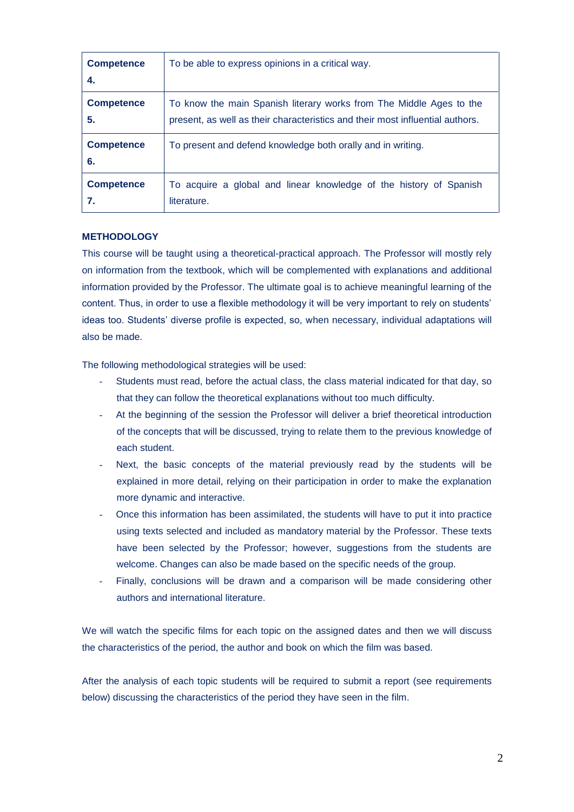| <b>Competence</b><br>4. | To be able to express opinions in a critical way.                             |
|-------------------------|-------------------------------------------------------------------------------|
| <b>Competence</b>       | To know the main Spanish literary works from The Middle Ages to the           |
| 5.                      | present, as well as their characteristics and their most influential authors. |
| <b>Competence</b><br>6. | To present and defend knowledge both orally and in writing.                   |
| <b>Competence</b>       | To acquire a global and linear knowledge of the history of Spanish            |
| 7.                      | literature.                                                                   |

## **METHODOLOGY**

This course will be taught using a theoretical-practical approach. The Professor will mostly rely on information from the textbook, which will be complemented with explanations and additional information provided by the Professor. The ultimate goal is to achieve meaningful learning of the content. Thus, in order to use a flexible methodology it will be very important to rely on students' ideas too. Students' diverse profile is expected, so, when necessary, individual adaptations will also be made.

The following methodological strategies will be used:

- Students must read, before the actual class, the class material indicated for that day, so that they can follow the theoretical explanations without too much difficulty.
- At the beginning of the session the Professor will deliver a brief theoretical introduction of the concepts that will be discussed, trying to relate them to the previous knowledge of each student.
- Next, the basic concepts of the material previously read by the students will be explained in more detail, relying on their participation in order to make the explanation more dynamic and interactive.
- Once this information has been assimilated, the students will have to put it into practice using texts selected and included as mandatory material by the Professor. These texts have been selected by the Professor; however, suggestions from the students are welcome. Changes can also be made based on the specific needs of the group.
- Finally, conclusions will be drawn and a comparison will be made considering other authors and international literature.

We will watch the specific films for each topic on the assigned dates and then we will discuss the characteristics of the period, the author and book on which the film was based.

After the analysis of each topic students will be required to submit a report (see requirements below) discussing the characteristics of the period they have seen in the film.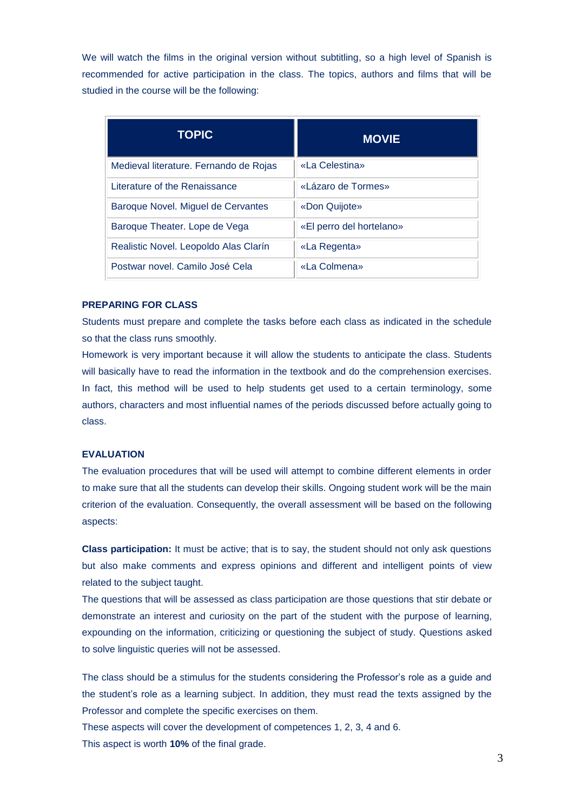We will watch the films in the original version without subtitling, so a high level of Spanish is recommended for active participation in the class. The topics, authors and films that will be studied in the course will be the following:

| <b>TOPIC</b>                           | <b>MOVIE</b>             |
|----------------------------------------|--------------------------|
| Medieval literature. Fernando de Rojas | «La Celestina»           |
| Literature of the Renaissance          | «Lázaro de Tormes»       |
| Baroque Novel. Miguel de Cervantes     | «Don Quijote»            |
| Baroque Theater. Lope de Vega          | «El perro del hortelano» |
| Realistic Novel. Leopoldo Alas Clarín  | «La Regenta»             |
| Postwar novel. Camilo José Cela        | «La Colmena»             |

#### **PREPARING FOR CLASS**

Students must prepare and complete the tasks before each class as indicated in the schedule so that the class runs smoothly.

Homework is very important because it will allow the students to anticipate the class. Students will basically have to read the information in the textbook and do the comprehension exercises. In fact, this method will be used to help students get used to a certain terminology, some authors, characters and most influential names of the periods discussed before actually going to class.

#### **EVALUATION**

The evaluation procedures that will be used will attempt to combine different elements in order to make sure that all the students can develop their skills. Ongoing student work will be the main criterion of the evaluation. Consequently, the overall assessment will be based on the following aspects:

**Class participation:** It must be active; that is to say, the student should not only ask questions but also make comments and express opinions and different and intelligent points of view related to the subject taught.

The questions that will be assessed as class participation are those questions that stir debate or demonstrate an interest and curiosity on the part of the student with the purpose of learning, expounding on the information, criticizing or questioning the subject of study. Questions asked to solve linguistic queries will not be assessed.

The class should be a stimulus for the students considering the Professor's role as a guide and the student's role as a learning subject. In addition, they must read the texts assigned by the Professor and complete the specific exercises on them.

These aspects will cover the development of competences 1, 2, 3, 4 and 6. This aspect is worth **10%** of the final grade.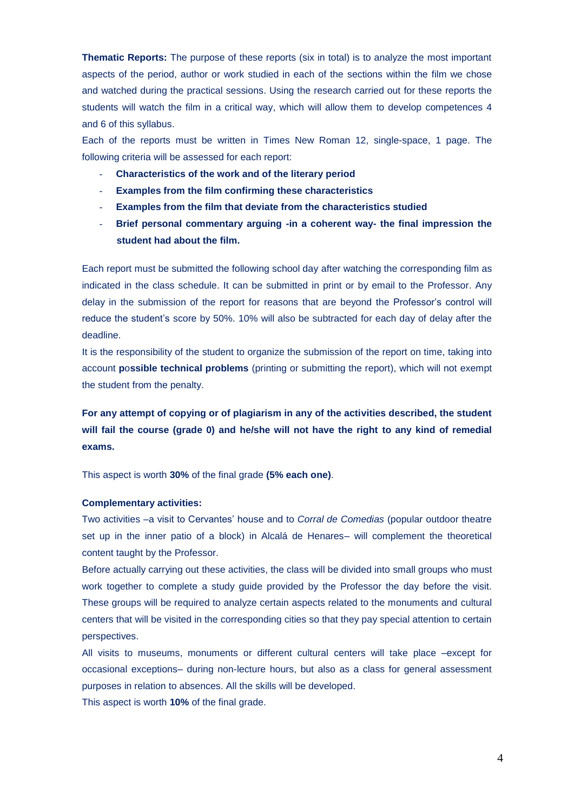**Thematic Reports:** The purpose of these reports (six in total) is to analyze the most important aspects of the period, author or work studied in each of the sections within the film we chose and watched during the practical sessions. Using the research carried out for these reports the students will watch the film in a critical way, which will allow them to develop competences 4 and 6 of this syllabus.

Each of the reports must be written in Times New Roman 12, single-space, 1 page. The following criteria will be assessed for each report:

- **Characteristics of the work and of the literary period**
- **Examples from the film confirming these characteristics**
- **Examples from the film that deviate from the characteristics studied**
- **Brief personal commentary arguing -in a coherent way- the final impression the student had about the film.**

Each report must be submitted the following school day after watching the corresponding film as indicated in the class schedule. It can be submitted in print or by email to the Professor. Any delay in the submission of the report for reasons that are beyond the Professor's control will reduce the student's score by 50%. 10% will also be subtracted for each day of delay after the deadline.

It is the responsibility of the student to organize the submission of the report on time, taking into account **p**o**ssible technical problems** (printing or submitting the report), which will not exempt the student from the penalty.

**For any attempt of copying or of plagiarism in any of the activities described, the student will fail the course (grade 0) and he/she will not have the right to any kind of remedial exams.**

This aspect is worth **30%** of the final grade **(5% each one)**.

#### **Complementary activities:**

Two activities –a visit to Cervantes' house and to *Corral de Comedias* (popular outdoor theatre set up in the inner patio of a block) in Alcalá de Henares– will complement the theoretical content taught by the Professor.

Before actually carrying out these activities, the class will be divided into small groups who must work together to complete a study guide provided by the Professor the day before the visit. These groups will be required to analyze certain aspects related to the monuments and cultural centers that will be visited in the corresponding cities so that they pay special attention to certain perspectives.

All visits to museums, monuments or different cultural centers will take place –except for occasional exceptions– during non-lecture hours, but also as a class for general assessment purposes in relation to absences. All the skills will be developed.

This aspect is worth **10%** of the final grade.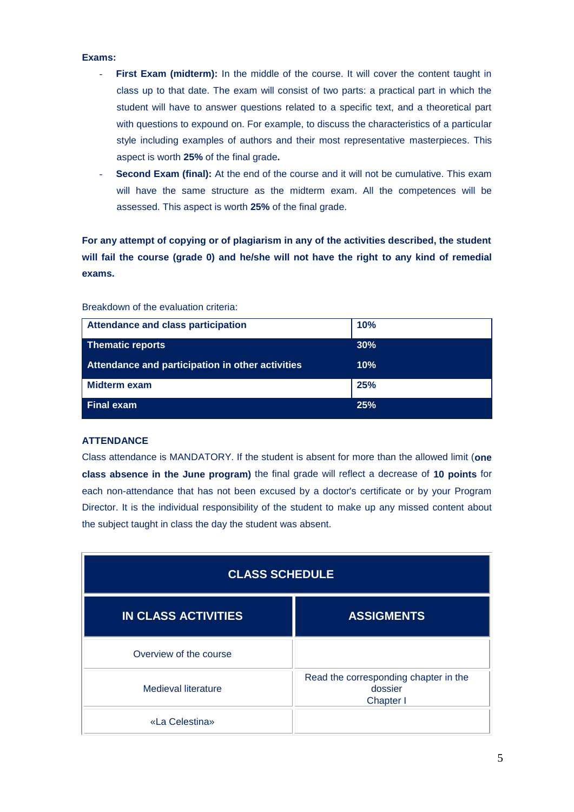#### **Exams:**

- **First Exam (midterm):** In the middle of the course. It will cover the content taught in class up to that date. The exam will consist of two parts: a practical part in which the student will have to answer questions related to a specific text, and a theoretical part with questions to expound on. For example, to discuss the characteristics of a particular style including examples of authors and their most representative masterpieces. This aspect is worth **25%** of the final grade**.**
- Second Exam (final): At the end of the course and it will not be cumulative. This exam will have the same structure as the midterm exam. All the competences will be assessed. This aspect is worth **25%** of the final grade.

**For any attempt of copying or of plagiarism in any of the activities described, the student will fail the course (grade 0) and he/she will not have the right to any kind of remedial exams.**

| <b>Attendance and class participation</b>        | 10% |
|--------------------------------------------------|-----|
| <b>Thematic reports</b>                          | 30% |
| Attendance and participation in other activities | 10% |
| Midterm exam                                     | 25% |
| <b>Final exam</b>                                | 25% |

Breakdown of the evaluation criteria:

### **ATTENDANCE**

Class attendance is MANDATORY. If the student is absent for more than the allowed limit (**one class absence in the June program)** the final grade will reflect a decrease of **10 points** for each non-attendance that has not been excused by a doctor's certificate or by your Program Director. It is the individual responsibility of the student to make up any missed content about the subject taught in class the day the student was absent.

| <b>CLASS SCHEDULE</b>      |                                                               |  |  |  |
|----------------------------|---------------------------------------------------------------|--|--|--|
| <b>IN CLASS ACTIVITIES</b> | <b>ASSIGMENTS</b>                                             |  |  |  |
| Overview of the course     |                                                               |  |  |  |
| Medieval literature        | Read the corresponding chapter in the<br>dossier<br>Chapter I |  |  |  |
| «La Celestina»             |                                                               |  |  |  |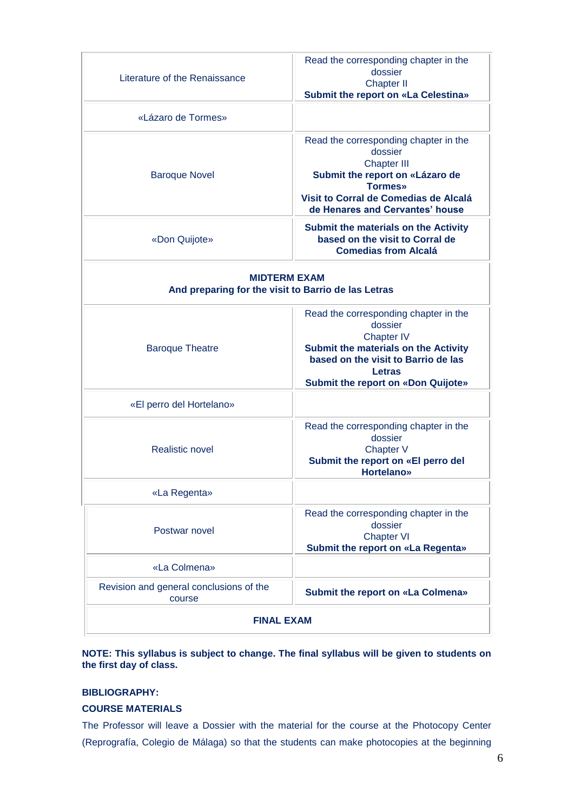| Literature of the Renaissance                                              | Read the corresponding chapter in the<br>dossier<br><b>Chapter II</b>                                                                                                                                       |  |  |
|----------------------------------------------------------------------------|-------------------------------------------------------------------------------------------------------------------------------------------------------------------------------------------------------------|--|--|
|                                                                            | <b>Submit the report on «La Celestina»</b>                                                                                                                                                                  |  |  |
| «Lázaro de Tormes»                                                         |                                                                                                                                                                                                             |  |  |
| <b>Baroque Novel</b>                                                       | Read the corresponding chapter in the<br>dossier<br><b>Chapter III</b><br>Submit the report on «Lázaro de<br><b>Tormes</b> »<br>Visit to Corral de Comedias de Alcalá<br>de Henares and Cervantes' house    |  |  |
| «Don Quijote»                                                              | Submit the materials on the Activity<br>based on the visit to Corral de<br><b>Comedias from Alcalá</b>                                                                                                      |  |  |
| <b>MIDTERM EXAM</b><br>And preparing for the visit to Barrio de las Letras |                                                                                                                                                                                                             |  |  |
| <b>Baroque Theatre</b>                                                     | Read the corresponding chapter in the<br>dossier<br><b>Chapter IV</b><br>Submit the materials on the Activity<br>based on the visit to Barrio de las<br>Letras<br><b>Submit the report on «Don Quijote»</b> |  |  |
| «El perro del Hortelano»                                                   |                                                                                                                                                                                                             |  |  |
| Realistic novel                                                            | Read the corresponding chapter in the<br>dossier<br>Chapter V<br>Submit the report on «El perro del<br><b>Hortelano»</b>                                                                                    |  |  |
| «La Regenta»                                                               |                                                                                                                                                                                                             |  |  |
| Postwar novel                                                              | Read the corresponding chapter in the<br>dossier<br><b>Chapter VI</b><br>Submit the report on «La Regenta»                                                                                                  |  |  |
| «La Colmena»                                                               |                                                                                                                                                                                                             |  |  |
| Revision and general conclusions of the<br>course                          | <b>Submit the report on «La Colmena»</b>                                                                                                                                                                    |  |  |
| <b>FINAL EXAM</b>                                                          |                                                                                                                                                                                                             |  |  |

## **NOTE: This syllabus is subject to change. The final syllabus will be given to students on the first day of class.**

## **BIBLIOGRAPHY:**

## **COURSE MATERIALS**

The Professor will leave a Dossier with the material for the course at the Photocopy Center (Reprografía, Colegio de Málaga) so that the students can make photocopies at the beginning